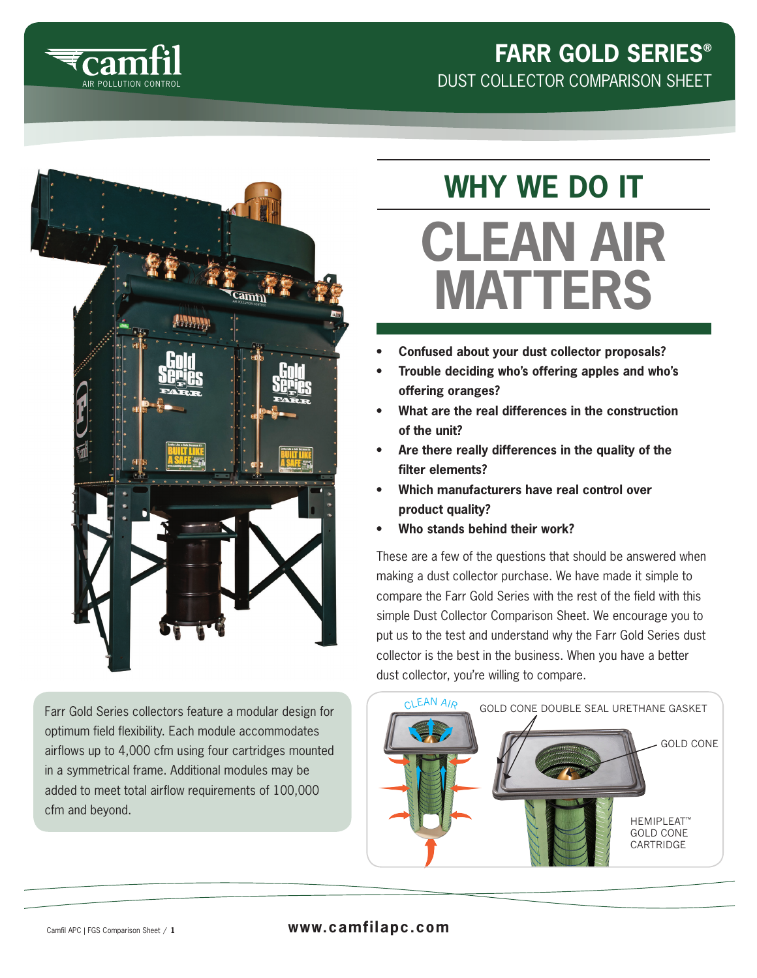



Farr Gold Series collectors feature a modular design for optimum field flexibility. Each module accommodates airflows up to 4,000 cfm using four cartridges mounted in a symmetrical frame. Additional modules may be added to meet total airflow requirements of 100,000 cfm and beyond.

## **CLEAN AIR MATTERS WHY WE DO IT**

- **• Confused about your dust collector proposals?**
- **• Trouble deciding who's offering apples and who's offering oranges?**
- **• What are the real differences in the construction of the unit?**
- **• Are there really differences in the quality of the filter elements?**
- **• Which manufacturers have real control over product quality?**
- **• Who stands behind their work?**

These are a few of the questions that should be answered when making a dust collector purchase. We have made it simple to compare the Farr Gold Series with the rest of the field with this simple Dust Collector Comparison Sheet. We encourage you to put us to the test and understand why the Farr Gold Series dust collector is the best in the business. When you have a better dust collector, you're willing to compare.